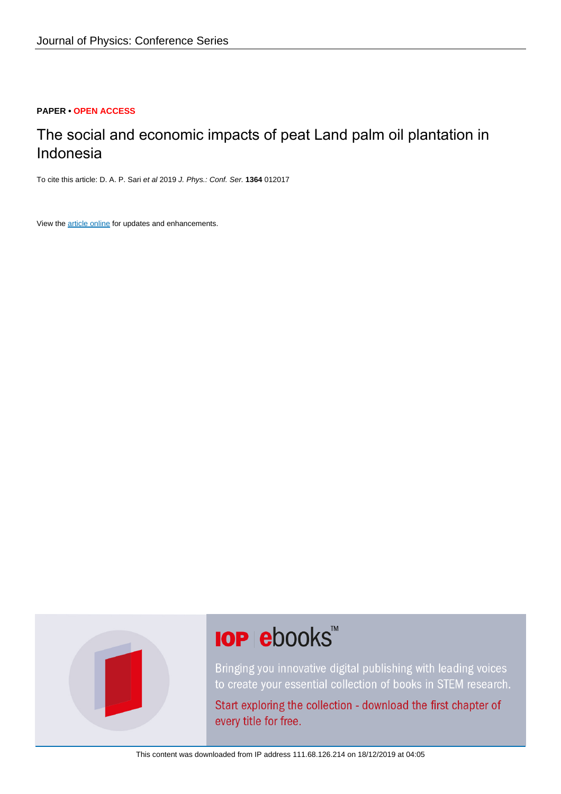## **PAPER • OPEN ACCESS**

# The social and economic impacts of peat Land palm oil plantation in Indonesia

To cite this article: D. A. P. Sari et al 2019 J. Phys.: Conf. Ser. **1364** 012017

View the [article online](https://doi.org/10.1088/1742-6596/1364/1/012017) for updates and enhancements.



# **IOP ebooks**™

Bringing you innovative digital publishing with leading voices to create your essential collection of books in STEM research.

Start exploring the collection - download the first chapter of every title for free.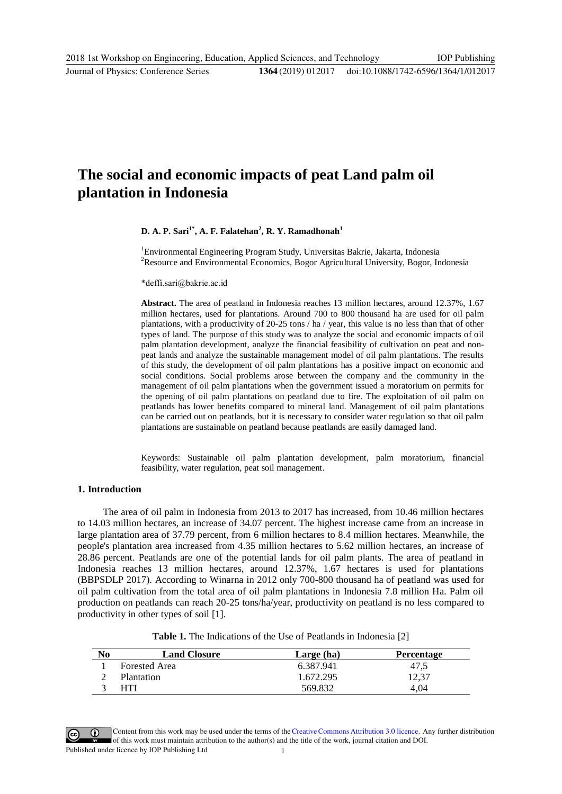# **The social and economic impacts of peat Land palm oil plantation in Indonesia**

#### **D. A. P. Sari1\*, A. F. Falatehan2 , R. Y. Ramadhonah<sup>1</sup>**

1 Environmental Engineering Program Study, Universitas Bakrie, Jakarta, Indonesia <sup>2</sup>Resource and Environmental Economics, Bogor Agricultural University, Bogor, Indonesia

\*deffi.sari@bakrie.ac.id

**Abstract.** The area of peatland in Indonesia reaches 13 million hectares, around 12.37%, 1.67 million hectares, used for plantations. Around 700 to 800 thousand ha are used for oil palm plantations, with a productivity of 20-25 tons / ha / year, this value is no less than that of other types of land. The purpose of this study was to analyze the social and economic impacts of oil palm plantation development, analyze the financial feasibility of cultivation on peat and nonpeat lands and analyze the sustainable management model of oil palm plantations. The results of this study, the development of oil palm plantations has a positive impact on economic and social conditions. Social problems arose between the company and the community in the management of oil palm plantations when the government issued a moratorium on permits for the opening of oil palm plantations on peatland due to fire. The exploitation of oil palm on peatlands has lower benefits compared to mineral land. Management of oil palm plantations can be carried out on peatlands, but it is necessary to consider water regulation so that oil palm plantations are sustainable on peatland because peatlands are easily damaged land.

Keywords: Sustainable oil palm plantation development, palm moratorium, financial feasibility, water regulation, peat soil management.

## **1. Introduction**

 The area of oil palm in Indonesia from 2013 to 2017 has increased, from 10.46 million hectares to 14.03 million hectares, an increase of 34.07 percent. The highest increase came from an increase in large plantation area of 37.79 percent, from 6 million hectares to 8.4 million hectares. Meanwhile, the people's plantation area increased from 4.35 million hectares to 5.62 million hectares, an increase of 28.86 percent. Peatlands are one of the potential lands for oil palm plants. The area of peatland in Indonesia reaches 13 million hectares, around 12.37%, 1.67 hectares is used for plantations (BBPSDLP 2017). According to Winarna in 2012 only 700-800 thousand ha of peatland was used for oil palm cultivation from the total area of oil palm plantations in Indonesia 7.8 million Ha. Palm oil production on peatlands can reach 20-25 tons/ha/year, productivity on peatland is no less compared to productivity in other types of soil [1].

| <b>Table 1.</b> The Indications of the Use of Peatlands in Indonesia [2] |  |  |  |  |  |
|--------------------------------------------------------------------------|--|--|--|--|--|
|--------------------------------------------------------------------------|--|--|--|--|--|

| No | <b>Land Closure</b>  | Large (ha) | <b>Percentage</b> |
|----|----------------------|------------|-------------------|
|    | <b>Forested Area</b> | 6.387.941  | 47,5              |
|    | Plantation           | 1.672.295  | 12.37             |
|    | HTI                  | 569.832    | 4.04              |

Content from this work may be used under the terms of theCreative Commons Attribution 3.0 licence. Any further distribution of this work must maintain attribution to the author(s) and the title of the work, journal citation and DOI. Published under licence by IOP Publishing Ltd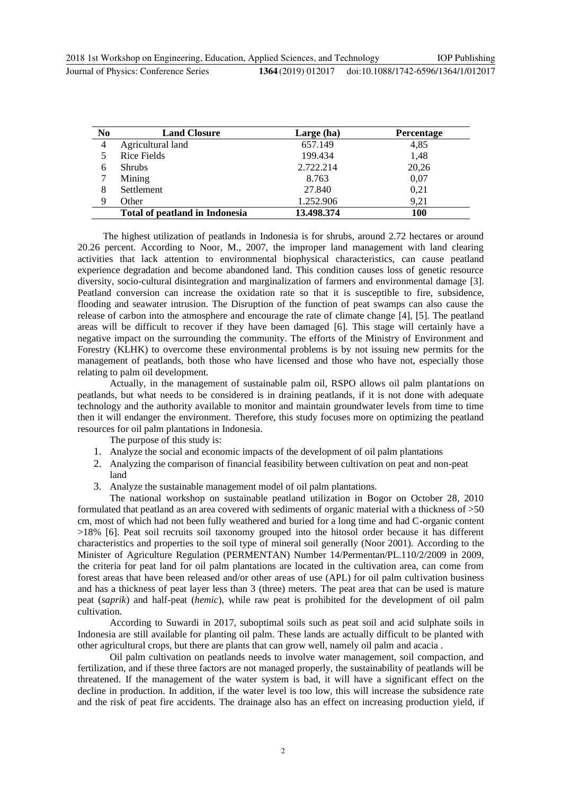| N <sub>0</sub> | <b>Land Closure</b>            | Large (ha) | <b>Percentage</b> |
|----------------|--------------------------------|------------|-------------------|
| $\overline{4}$ | Agricultural land              | 657.149    | 4,85              |
|                | Rice Fields                    | 199.434    | 1,48              |
| 6              | <b>Shrubs</b>                  | 2.722.214  | 20,26             |
|                | Mining                         | 8.763      | 0,07              |
| 8              | Settlement                     | 27.840     | 0,21              |
| 9              | Other                          | 1.252.906  | 9,21              |
|                | Total of peatland in Indonesia | 13.498.374 | <b>100</b>        |

 The highest utilization of peatlands in Indonesia is for shrubs, around 2.72 hectares or around 20.26 percent. According to Noor, M., 2007, the improper land management with land clearing activities that lack attention to environmental biophysical characteristics, can cause peatland experience degradation and become abandoned land. This condition causes loss of genetic resource diversity, socio-cultural disintegration and marginalization of farmers and environmental damage [3]. Peatland conversion can increase the oxidation rate so that it is susceptible to fire, subsidence, flooding and seawater intrusion. The Disruption of the function of peat swamps can also cause the release of carbon into the atmosphere and encourage the rate of climate change [4], [5]. The peatland areas will be difficult to recover if they have been damaged [6]. This stage will certainly have a negative impact on the surrounding the community. The efforts of the Ministry of Environment and Forestry (KLHK) to overcome these environmental problems is by not issuing new permits for the management of peatlands, both those who have licensed and those who have not, especially those relating to palm oil development.

Actually, in the management of sustainable palm oil, RSPO allows oil palm plantations on peatlands, but what needs to be considered is in draining peatlands, if it is not done with adequate technology and the authority available to monitor and maintain groundwater levels from time to time then it will endanger the environment. Therefore, this study focuses more on optimizing the peatland resources for oil palm plantations in Indonesia.

The purpose of this study is:

- 1. Analyze the social and economic impacts of the development of oil palm plantations
- 2. Analyzing the comparison of financial feasibility between cultivation on peat and non-peat land
- 3. Analyze the sustainable management model of oil palm plantations.

The national workshop on sustainable peatland utilization in Bogor on October 28, 2010 formulated that peatland as an area covered with sediments of organic material with a thickness of >50 cm, most of which had not been fully weathered and buried for a long time and had C-organic content >18% [6]. Peat soil recruits soil taxonomy grouped into the hitosol order because it has different characteristics and properties to the soil type of mineral soil generally (Noor 2001). According to the Minister of Agriculture Regulation (PERMENTAN) Number 14/Permentan/PL.110/2/2009 in 2009, the criteria for peat land for oil palm plantations are located in the cultivation area, can come from forest areas that have been released and/or other areas of use (APL) for oil palm cultivation business and has a thickness of peat layer less than 3 (three) meters. The peat area that can be used is mature peat (*saprik*) and half-peat (*hemic*), while raw peat is prohibited for the development of oil palm cultivation.

According to Suwardi in 2017, suboptimal soils such as peat soil and acid sulphate soils in Indonesia are still available for planting oil palm. These lands are actually difficult to be planted with other agricultural crops, but there are plants that can grow well, namely oil palm and acacia .

Oil palm cultivation on peatlands needs to involve water management, soil compaction, and fertilization, and if these three factors are not managed properly, the sustainability of peatlands will be threatened. If the management of the water system is bad, it will have a significant effect on the decline in production. In addition, if the water level is too low, this will increase the subsidence rate and the risk of peat fire accidents. The drainage also has an effect on increasing production yield, if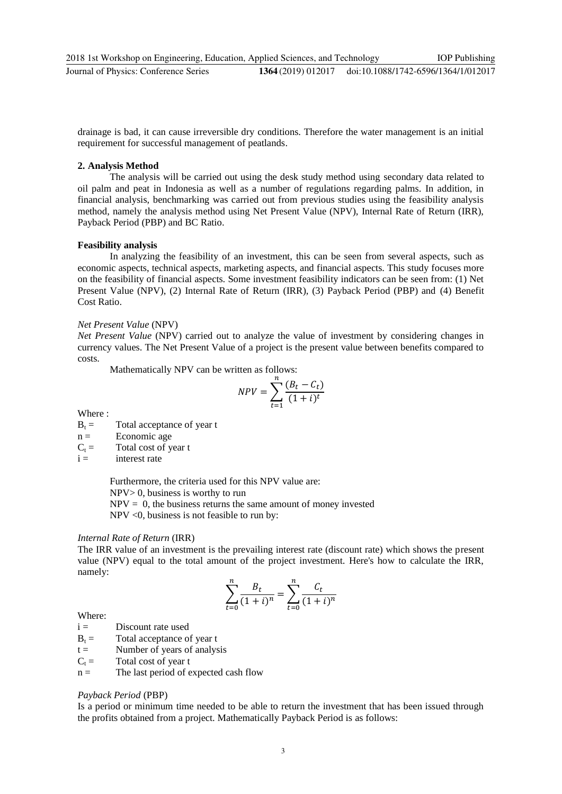drainage is bad, it can cause irreversible dry conditions. Therefore the water management is an initial requirement for successful management of peatlands.

#### **2. Analysis Method**

The analysis will be carried out using the desk study method using secondary data related to oil palm and peat in Indonesia as well as a number of regulations regarding palms. In addition, in financial analysis, benchmarking was carried out from previous studies using the feasibility analysis method, namely the analysis method using Net Present Value (NPV), Internal Rate of Return (IRR), Payback Period (PBP) and BC Ratio.

#### **Feasibility analysis**

In analyzing the feasibility of an investment, this can be seen from several aspects, such as economic aspects, technical aspects, marketing aspects, and financial aspects. This study focuses more on the feasibility of financial aspects. Some investment feasibility indicators can be seen from: (1) Net Present Value (NPV), (2) Internal Rate of Return (IRR), (3) Payback Period (PBP) and (4) Benefit Cost Ratio.

#### *Net Present Value* (NPV)

*Net Present Value* (NPV) carried out to analyze the value of investment by considering changes in currency values. The Net Present Value of a project is the present value between benefits compared to costs.

Mathematically NPV can be written as follows:

$$
NPV = \sum_{t=1}^{n} \frac{(B_t - C_t)}{(1 + i)^t}
$$

Where :

 $B_t =$  Total acceptance of year t

 $n =$  Economic age

 $C_t$  = Total cost of year t<br>i = interest rate

interest rate

Furthermore, the criteria used for this NPV value are: NPV> 0, business is worthy to run

 $NPV = 0$ , the business returns the same amount of money invested

NPV <0, business is not feasible to run by:

#### *Internal Rate of Return* (IRR)

The IRR value of an investment is the prevailing interest rate (discount rate) which shows the present value (NPV) equal to the total amount of the project investment. Here's how to calculate the IRR, namely:

$$
\sum_{t=0}^{n} \frac{B_t}{(1+i)^n} = \sum_{t=0}^{n} \frac{C_t}{(1+i)^n}
$$

### Where:

- $i =$  Discount rate used
- $B_t$  = Total acceptance of year t
- $t =$  Number of years of analysis
- $C_t$  = Total cost of year t
- $n =$  The last period of expected cash flow

#### *Payback Period* (PBP)

Is a period or minimum time needed to be able to return the investment that has been issued through the profits obtained from a project. Mathematically Payback Period is as follows: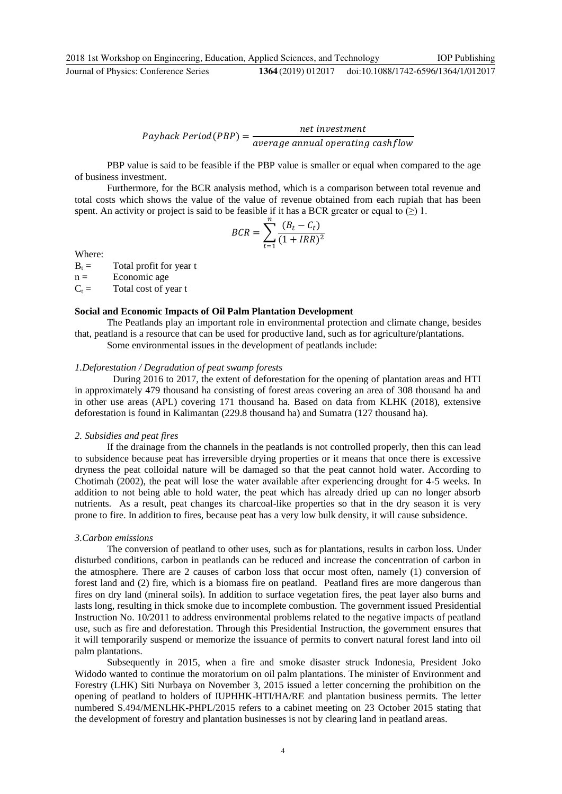$$
Payback Period (PBP) = \frac{net\ investment}{average\ annual\ operating\ cashflow}
$$

PBP value is said to be feasible if the PBP value is smaller or equal when compared to the age of business investment.

Furthermore, for the BCR analysis method, which is a comparison between total revenue and total costs which shows the value of the value of revenue obtained from each rupiah that has been spent. An activity or project is said to be feasible if it has a BCR greater or equal to  $(\ge)$  1.

$$
BCR = \sum_{t=1}^{n} \frac{(B_t - C_t)}{(1 + IRR)^2}
$$

Where:

 $B_t$  = Total profit for year t

 $n =$  Economic age

 $C_t$  = Total cost of year t

#### **Social and Economic Impacts of Oil Palm Plantation Development**

The Peatlands play an important role in environmental protection and climate change, besides that, peatland is a resource that can be used for productive land, such as for agriculture/plantations.

Some environmental issues in the development of peatlands include:

#### *1.Deforestation / Degradation of peat swamp forests*

 During 2016 to 2017, the extent of deforestation for the opening of plantation areas and HTI in approximately 479 thousand ha consisting of forest areas covering an area of 308 thousand ha and in other use areas (APL) covering 171 thousand ha. Based on data from KLHK (2018), extensive deforestation is found in Kalimantan (229.8 thousand ha) and Sumatra (127 thousand ha).

#### *2. Subsidies and peat fires*

If the drainage from the channels in the peatlands is not controlled properly, then this can lead to subsidence because peat has irreversible drying properties or it means that once there is excessive dryness the peat colloidal nature will be damaged so that the peat cannot hold water. According to Chotimah (2002), the peat will lose the water available after experiencing drought for 4-5 weeks. In addition to not being able to hold water, the peat which has already dried up can no longer absorb nutrients. As a result, peat changes its charcoal-like properties so that in the dry season it is very prone to fire. In addition to fires, because peat has a very low bulk density, it will cause subsidence.

#### *3.Carbon emissions*

The conversion of peatland to other uses, such as for plantations, results in carbon loss. Under disturbed conditions, carbon in peatlands can be reduced and increase the concentration of carbon in the atmosphere. There are 2 causes of carbon loss that occur most often, namely (1) conversion of forest land and (2) fire, which is a biomass fire on peatland. Peatland fires are more dangerous than fires on dry land (mineral soils). In addition to surface vegetation fires, the peat layer also burns and lasts long, resulting in thick smoke due to incomplete combustion. The government issued Presidential Instruction No. 10/2011 to address environmental problems related to the negative impacts of peatland use, such as fire and deforestation. Through this Presidential Instruction, the government ensures that it will temporarily suspend or memorize the issuance of permits to convert natural forest land into oil palm plantations.

Subsequently in 2015, when a fire and smoke disaster struck Indonesia, President Joko Widodo wanted to continue the moratorium on oil palm plantations. The minister of Environment and Forestry (LHK) Siti Nurbaya on November 3, 2015 issued a letter concerning the prohibition on the opening of peatland to holders of IUPHHK-HTI/HA/RE and plantation business permits. The letter numbered S.494/MENLHK-PHPL/2015 refers to a cabinet meeting on 23 October 2015 stating that the development of forestry and plantation businesses is not by clearing land in peatland areas.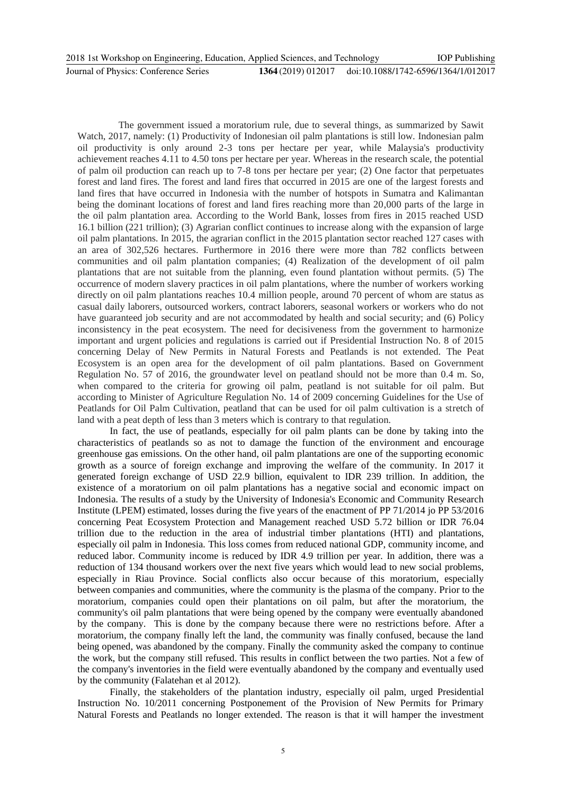The government issued a moratorium rule, due to several things, as summarized by Sawit Watch, 2017, namely: (1) Productivity of Indonesian oil palm plantations is still low. Indonesian palm oil productivity is only around 2-3 tons per hectare per year, while Malaysia's productivity achievement reaches 4.11 to 4.50 tons per hectare per year. Whereas in the research scale, the potential of palm oil production can reach up to 7-8 tons per hectare per year; (2) One factor that perpetuates forest and land fires. The forest and land fires that occurred in 2015 are one of the largest forests and land fires that have occurred in Indonesia with the number of hotspots in Sumatra and Kalimantan being the dominant locations of forest and land fires reaching more than 20,000 parts of the large in the oil palm plantation area. According to the World Bank, losses from fires in 2015 reached USD 16.1 billion (221 trillion); (3) Agrarian conflict continues to increase along with the expansion of large oil palm plantations. In 2015, the agrarian conflict in the 2015 plantation sector reached 127 cases with an area of 302,526 hectares. Furthermore in 2016 there were more than 782 conflicts between communities and oil palm plantation companies; (4) Realization of the development of oil palm plantations that are not suitable from the planning, even found plantation without permits. (5) The occurrence of modern slavery practices in oil palm plantations, where the number of workers working directly on oil palm plantations reaches 10.4 million people, around 70 percent of whom are status as casual daily laborers, outsourced workers, contract laborers, seasonal workers or workers who do not have guaranteed job security and are not accommodated by health and social security; and (6) Policy inconsistency in the peat ecosystem. The need for decisiveness from the government to harmonize important and urgent policies and regulations is carried out if Presidential Instruction No. 8 of 2015 concerning Delay of New Permits in Natural Forests and Peatlands is not extended. The Peat Ecosystem is an open area for the development of oil palm plantations. Based on Government Regulation No. 57 of 2016, the groundwater level on peatland should not be more than 0.4 m. So, when compared to the criteria for growing oil palm, peatland is not suitable for oil palm. But according to Minister of Agriculture Regulation No. 14 of 2009 concerning Guidelines for the Use of Peatlands for Oil Palm Cultivation, peatland that can be used for oil palm cultivation is a stretch of land with a peat depth of less than 3 meters which is contrary to that regulation.

In fact, the use of peatlands, especially for oil palm plants can be done by taking into the characteristics of peatlands so as not to damage the function of the environment and encourage greenhouse gas emissions. On the other hand, oil palm plantations are one of the supporting economic growth as a source of foreign exchange and improving the welfare of the community. In 2017 it generated foreign exchange of USD 22.9 billion, equivalent to IDR 239 trillion. In addition, the existence of a moratorium on oil palm plantations has a negative social and economic impact on Indonesia. The results of a study by the University of Indonesia's Economic and Community Research Institute (LPEM) estimated, losses during the five years of the enactment of PP 71/2014 jo PP 53/2016 concerning Peat Ecosystem Protection and Management reached USD 5.72 billion or IDR 76.04 trillion due to the reduction in the area of industrial timber plantations (HTI) and plantations, especially oil palm in Indonesia. This loss comes from reduced national GDP, community income, and reduced labor. Community income is reduced by IDR 4.9 trillion per year. In addition, there was a reduction of 134 thousand workers over the next five years which would lead to new social problems, especially in Riau Province. Social conflicts also occur because of this moratorium, especially between companies and communities, where the community is the plasma of the company. Prior to the moratorium, companies could open their plantations on oil palm, but after the moratorium, the community's oil palm plantations that were being opened by the company were eventually abandoned by the company. This is done by the company because there were no restrictions before. After a moratorium, the company finally left the land, the community was finally confused, because the land being opened, was abandoned by the company. Finally the community asked the company to continue the work, but the company still refused. This results in conflict between the two parties. Not a few of the company's inventories in the field were eventually abandoned by the company and eventually used by the community (Falatehan et al 2012).

Finally, the stakeholders of the plantation industry, especially oil palm, urged Presidential Instruction No. 10/2011 concerning Postponement of the Provision of New Permits for Primary Natural Forests and Peatlands no longer extended. The reason is that it will hamper the investment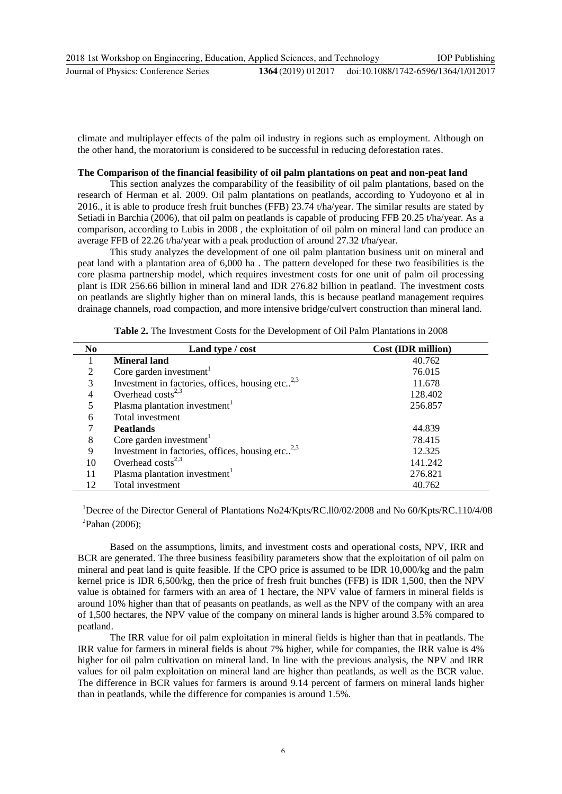climate and multiplayer effects of the palm oil industry in regions such as employment. Although on the other hand, the moratorium is considered to be successful in reducing deforestation rates.

## **The Comparison of the financial feasibility of oil palm plantations on peat and non-peat land**

This section analyzes the comparability of the feasibility of oil palm plantations, based on the research of Herman et al. 2009. Oil palm plantations on peatlands, according to Yudoyono et al in 2016., it is able to produce fresh fruit bunches (FFB) 23.74 t/ha/year. The similar results are stated by Setiadi in Barchia (2006), that oil palm on peatlands is capable of producing FFB 20.25 t/ha/year. As a comparison, according to Lubis in 2008 , the exploitation of oil palm on mineral land can produce an average FFB of 22.26 t/ha/year with a peak production of around 27.32 t/ha/year.

This study analyzes the development of one oil palm plantation business unit on mineral and peat land with a plantation area of 6,000 ha . The pattern developed for these two feasibilities is the core plasma partnership model, which requires investment costs for one unit of palm oil processing plant is IDR 256.66 billion in mineral land and IDR 276.82 billion in peatland. The investment costs on peatlands are slightly higher than on mineral lands, this is because peatland management requires drainage channels, road compaction, and more intensive bridge/culvert construction than mineral land.

| N <sub>0</sub> | Land type / cost                                    | <b>Cost (IDR million)</b> |
|----------------|-----------------------------------------------------|---------------------------|
|                | <b>Mineral land</b>                                 | 40.762                    |
| 2              | Core garden investment <sup>1</sup>                 | 76.015                    |
| 3              | Investment in factories, offices, housing etc $2,3$ | 11.678                    |
| 4              | Overhead $\cos(s^{2,3})$                            | 128.402                   |
| 5              | Plasma plantation investment <sup>1</sup>           | 256.857                   |
| 6              | Total investment                                    |                           |
|                | <b>Peatlands</b>                                    | 44.839                    |
| 8              | Core garden investment <sup>1</sup>                 | 78.415                    |
| 9              | Investment in factories, offices, housing etc $2,3$ | 12.325                    |
| 10             | Overhead $\cos(s^{2,3})$                            | 141.242                   |
| 11             | Plasma plantation investment <sup>1</sup>           | 276.821                   |
| 12             | Total investment                                    | 40.762                    |

|  |  |  | Table 2. The Investment Costs for the Development of Oil Palm Plantations in 2008 |  |  |  |
|--|--|--|-----------------------------------------------------------------------------------|--|--|--|
|--|--|--|-----------------------------------------------------------------------------------|--|--|--|

<sup>1</sup>Decree of the Director General of Plantations No24/Kpts/RC.110/02/2008 and No 60/Kpts/RC.110/4/08  ${}^{2}$ Pahan (2006);

Based on the assumptions, limits, and investment costs and operational costs, NPV, IRR and BCR are generated. The three business feasibility parameters show that the exploitation of oil palm on mineral and peat land is quite feasible. If the CPO price is assumed to be IDR 10,000/kg and the palm kernel price is IDR 6,500/kg, then the price of fresh fruit bunches (FFB) is IDR 1,500, then the NPV value is obtained for farmers with an area of 1 hectare, the NPV value of farmers in mineral fields is around 10% higher than that of peasants on peatlands, as well as the NPV of the company with an area of 1,500 hectares, the NPV value of the company on mineral lands is higher around 3.5% compared to peatland.

The IRR value for oil palm exploitation in mineral fields is higher than that in peatlands. The IRR value for farmers in mineral fields is about 7% higher, while for companies, the IRR value is 4% higher for oil palm cultivation on mineral land. In line with the previous analysis, the NPV and IRR values for oil palm exploitation on mineral land are higher than peatlands, as well as the BCR value. The difference in BCR values for farmers is around 9.14 percent of farmers on mineral lands higher than in peatlands, while the difference for companies is around 1.5%.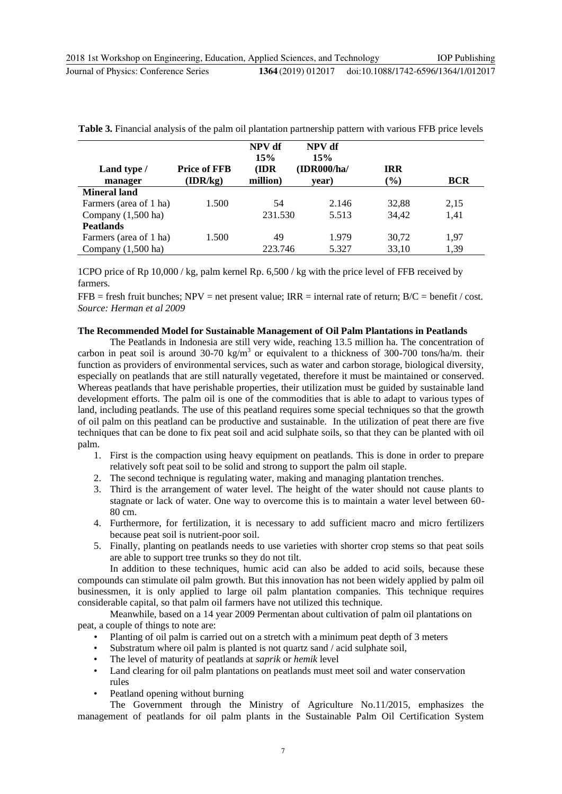| Land type /                  | <b>Price of FFB</b> | NPV df<br>15%<br>(IDR | NPV df<br>15%<br>(IDR000/ha/ | <b>IRR</b> |            |
|------------------------------|---------------------|-----------------------|------------------------------|------------|------------|
| manager                      | (IDR/kg)            | million)              | year)                        | $(\%)$     | <b>BCR</b> |
| Mineral land                 |                     |                       |                              |            |            |
| Farmers (area of 1 ha)       | 1.500               | 54                    | 2.146                        | 32,88      | 2,15       |
| Company $(1,500 \text{ ha})$ |                     | 231.530               | 5.513                        | 34,42      | 1,41       |
| <b>Peatlands</b>             |                     |                       |                              |            |            |
| Farmers (area of 1 ha)       | 1.500               | 49                    | 1.979                        | 30,72      | 1,97       |
| Company $(1,500 \text{ ha})$ |                     | 223.746               | 5.327                        | 33,10      | 1,39       |

**Table 3.** Financial analysis of the palm oil plantation partnership pattern with various FFB price levels

1CPO price of Rp 10,000 / kg, palm kernel Rp. 6,500 / kg with the price level of FFB received by farmers.

 $FFB =$  fresh fruit bunches; NPV = net present value; IRR = internal rate of return; B/C = benefit / cost. *Source: Herman et al 2009* 

#### **The Recommended Model for Sustainable Management of Oil Palm Plantations in Peatlands**

The Peatlands in Indonesia are still very wide, reaching 13.5 million ha. The concentration of carbon in peat soil is around 30-70 kg/m<sup>3</sup> or equivalent to a thickness of 300-700 tons/ha/m. their function as providers of environmental services, such as water and carbon storage, biological diversity, especially on peatlands that are still naturally vegetated, therefore it must be maintained or conserved. Whereas peatlands that have perishable properties, their utilization must be guided by sustainable land development efforts. The palm oil is one of the commodities that is able to adapt to various types of land, including peatlands. The use of this peatland requires some special techniques so that the growth of oil palm on this peatland can be productive and sustainable. In the utilization of peat there are five techniques that can be done to fix peat soil and acid sulphate soils, so that they can be planted with oil palm.

- 1. First is the compaction using heavy equipment on peatlands. This is done in order to prepare relatively soft peat soil to be solid and strong to support the palm oil staple.
- 2. The second technique is regulating water, making and managing plantation trenches.
- 3. Third is the arrangement of water level. The height of the water should not cause plants to stagnate or lack of water. One way to overcome this is to maintain a water level between 60- 80 cm.
- 4. Furthermore, for fertilization, it is necessary to add sufficient macro and micro fertilizers because peat soil is nutrient-poor soil.
- 5. Finally, planting on peatlands needs to use varieties with shorter crop stems so that peat soils are able to support tree trunks so they do not tilt.

In addition to these techniques, humic acid can also be added to acid soils, because these compounds can stimulate oil palm growth. But this innovation has not been widely applied by palm oil businessmen, it is only applied to large oil palm plantation companies. This technique requires considerable capital, so that palm oil farmers have not utilized this technique.

Meanwhile, based on a 14 year 2009 Permentan about cultivation of palm oil plantations on peat, a couple of things to note are:

- Planting of oil palm is carried out on a stretch with a minimum peat depth of 3 meters
- Substratum where oil palm is planted is not quartz sand / acid sulphate soil,
- The level of maturity of peatlands at *saprik* or *hemik* level
- Land clearing for oil palm plantations on peatlands must meet soil and water conservation rules
- Peatland opening without burning

The Government through the Ministry of Agriculture No.11/2015, emphasizes the management of peatlands for oil palm plants in the Sustainable Palm Oil Certification System